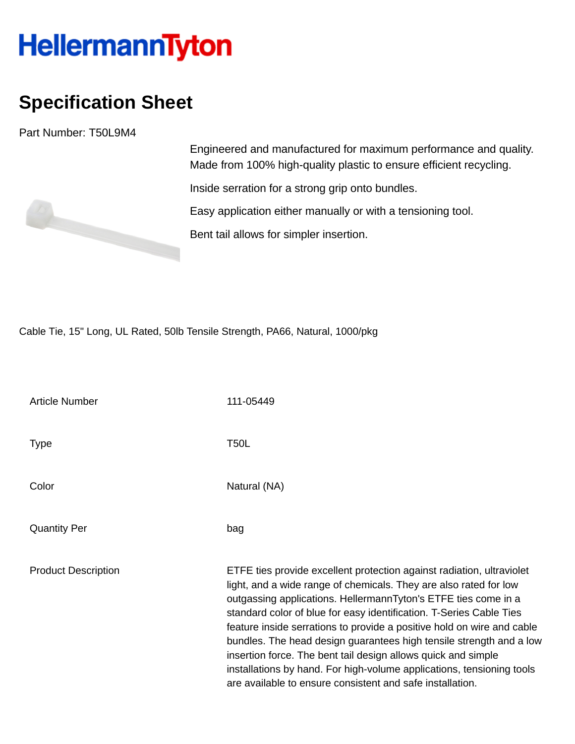## **HellermannTyton**

## **Specification Sheet**

Part Number: T50L9M4

Engineered and manufactured for maximum performance and quality. Made from 100% high-quality plastic to ensure efficient recycling.

Inside serration for a strong grip onto bundles.

Easy application either manually or with a tensioning tool.

Bent tail allows for simpler insertion.

Cable Tie, 15" Long, UL Rated, 50lb Tensile Strength, PA66, Natural, 1000/pkg

Article Number 111-05449 Type T50L Color Natural (NA) Quantity Per bag Product Description ETFE ties provide excellent protection against radiation, ultraviolet light, and a wide range of chemicals. They are also rated for low outgassing applications. HellermannTyton's ETFE ties come in a standard color of blue for easy identification. T-Series Cable Ties feature inside serrations to provide a positive hold on wire and cable bundles. The head design guarantees high tensile strength and a low insertion force. The bent tail design allows quick and simple installations by hand. For high-volume applications, tensioning tools are available to ensure consistent and safe installation.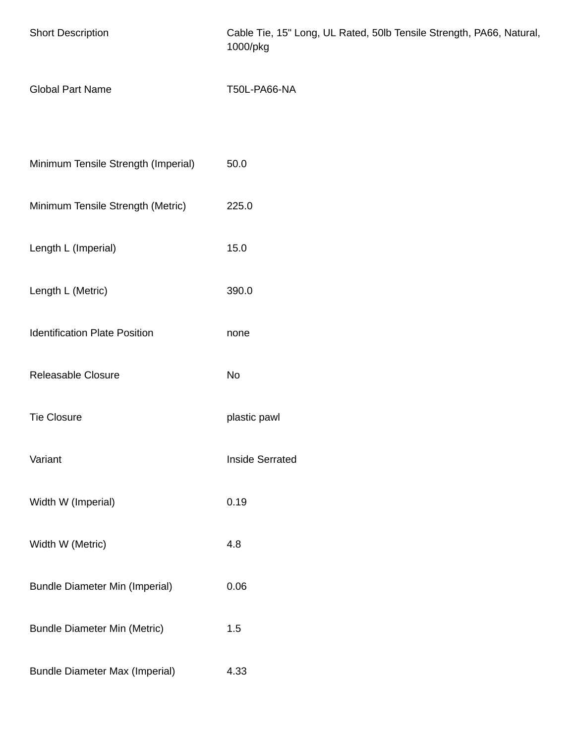| <b>Short Description</b>              | Cable Tie, 15" Long, UL Rated, 50lb Tensile Strength, PA66, Natural,<br>1000/pkg |
|---------------------------------------|----------------------------------------------------------------------------------|
| <b>Global Part Name</b>               | <b>T50L-PA66-NA</b>                                                              |
| Minimum Tensile Strength (Imperial)   | 50.0                                                                             |
| Minimum Tensile Strength (Metric)     | 225.0                                                                            |
| Length L (Imperial)                   | 15.0                                                                             |
| Length L (Metric)                     | 390.0                                                                            |
| <b>Identification Plate Position</b>  | none                                                                             |
| Releasable Closure                    | No                                                                               |
| <b>Tie Closure</b>                    | plastic pawl                                                                     |
| Variant                               | <b>Inside Serrated</b>                                                           |
| Width W (Imperial)                    | 0.19                                                                             |
| Width W (Metric)                      | 4.8                                                                              |
| <b>Bundle Diameter Min (Imperial)</b> | 0.06                                                                             |
| <b>Bundle Diameter Min (Metric)</b>   | 1.5                                                                              |
| <b>Bundle Diameter Max (Imperial)</b> | 4.33                                                                             |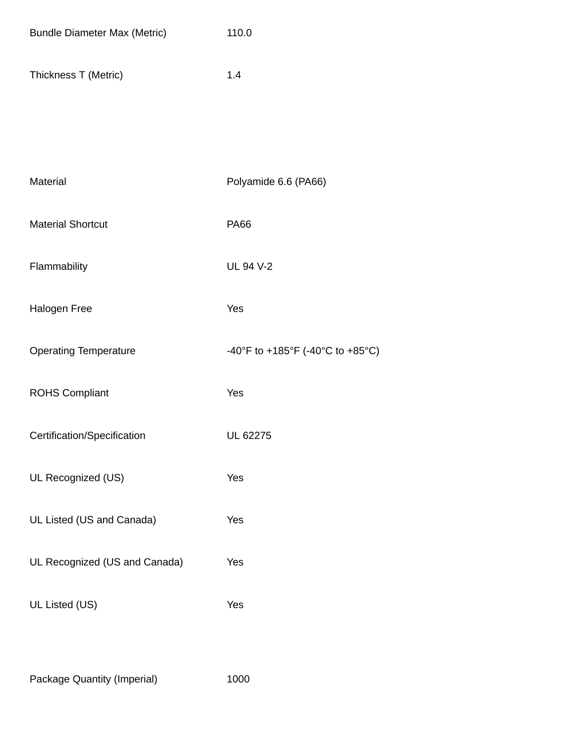| <b>Bundle Diameter Max (Metric)</b> | 110.0                            |
|-------------------------------------|----------------------------------|
| Thickness T (Metric)                | 1.4                              |
|                                     |                                  |
| Material                            | Polyamide 6.6 (PA66)             |
| <b>Material Shortcut</b>            | <b>PA66</b>                      |
| Flammability                        | <b>UL 94 V-2</b>                 |
| Halogen Free                        | Yes                              |
| <b>Operating Temperature</b>        | -40°F to +185°F (-40°C to +85°C) |
| <b>ROHS Compliant</b>               | Yes                              |
| Certification/Specification         | UL 62275                         |
| UL Recognized (US)                  | Yes                              |
| UL Listed (US and Canada)           | Yes                              |
| UL Recognized (US and Canada)       | Yes                              |
| UL Listed (US)                      | Yes                              |